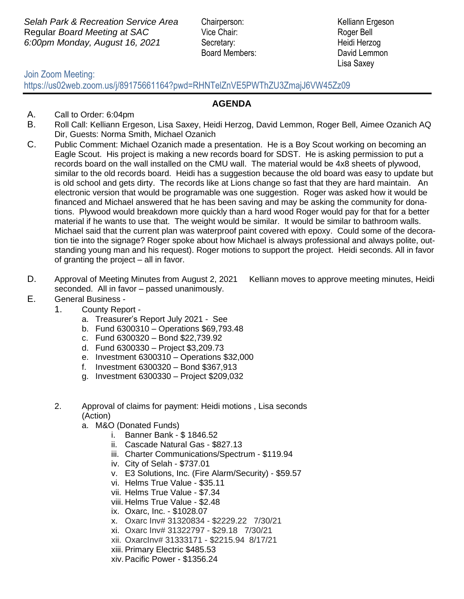**Selah Park & Recreation Service Area** Chairperson: Kelliann Ergeson Regular *Board Meeting at SAC* Vice Chair: Roger Bell *6:00pm Monday, August 16, 2021* Secretary: Heidi Herzog

Board Members: David Lemmon

Lisa Saxey

## Join Zoom Meeting:

https://us02web.zoom.us/j/89175661164?pwd=RHNTelZnVE5PWThZU3ZmajJ6VW45Zz09

## **AGENDA**

- A. Call to Order: 6:04pm
- B. Roll Call: Kelliann Ergeson, Lisa Saxey, Heidi Herzog, David Lemmon, Roger Bell, Aimee Ozanich AQ Dir, Guests: Norma Smith, Michael Ozanich
- C. Public Comment: Michael Ozanich made a presentation. He is a Boy Scout working on becoming an Eagle Scout. His project is making a new records board for SDST. He is asking permission to put a records board on the wall installed on the CMU wall. The material would be 4x8 sheets of plywood, similar to the old records board. Heidi has a suggestion because the old board was easy to update but is old school and gets dirty. The records like at Lions change so fast that they are hard maintain. An electronic version that would be programable was one suggestion. Roger was asked how it would be financed and Michael answered that he has been saving and may be asking the community for donations. Plywood would breakdown more quickly than a hard wood Roger would pay for that for a better material if he wants to use that. The weight would be similar. It would be similar to bathroom walls. Michael said that the current plan was waterproof paint covered with epoxy. Could some of the decoration tie into the signage? Roger spoke about how Michael is always professional and always polite, outstanding young man and his request). Roger motions to support the project. Heidi seconds. All in favor of granting the project – all in favor.
- D. Approval of Meeting Minutes from August 2, 2021 Kelliann moves to approve meeting minutes, Heidi seconded. All in favor – passed unanimously.
- E. General Business
	- 1. County Report
		- a. Treasurer's Report July 2021 See
		- b. Fund 6300310 Operations \$69,793.48
		- c. Fund 6300320 Bond \$22,739.92
		- d. Fund 6300330 Project \$3,209.73
		- e. Investment 6300310 Operations \$32,000
		- f. Investment 6300320 Bond \$367,913
		- g. Investment 6300330 Project \$209,032
	- 2. Approval of claims for payment: Heidi motions , Lisa seconds (Action)
		- a. M&O (Donated Funds)
			- i. Banner Bank \$ 1846.52
			- ii. Cascade Natural Gas \$827.13
			- iii. Charter Communications/Spectrum \$119.94
			- iv. City of Selah \$737.01
			- v. E3 Solutions, Inc. (Fire Alarm/Security) \$59.57
			- vi. Helms True Value \$35.11
			- vii. Helms True Value \$7.34
			- viii. Helms True Value \$2.48
			- ix. Oxarc, Inc. \$1028.07
			- x. Oxarc Inv# 31320834 \$2229.22 7/30/21
			- xi. Oxarc Inv# 31322797 \$29.18 7/30/21
			- xii. OxarcInv# 31333171 \$2215.94 8/17/21
			- xiii. Primary Electric \$485.53
			- xiv.Pacific Power \$1356.24